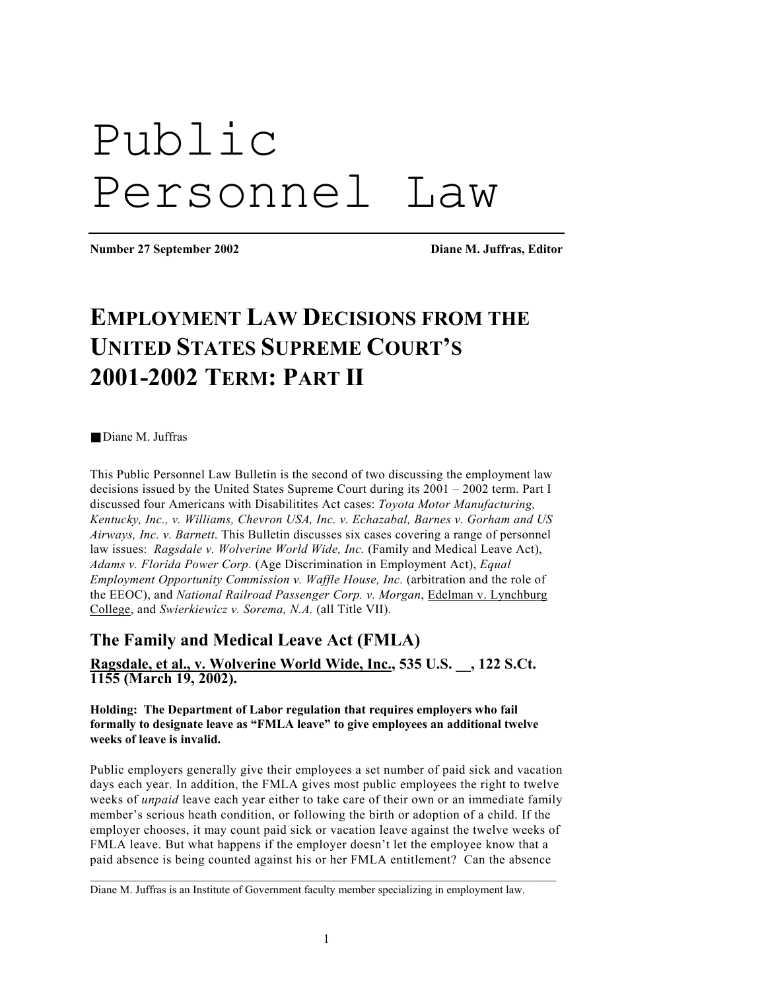# Public Personnel Law

**Number 27 September 2002 Diane M. Juffras, Editor** 

# **EMPLOYMENT LAW DECISIONS FROM THE UNITED STATES SUPREME COURT'S 2001-2002 TERM: PART II**

■ Diane M Juffras

This Public Personnel Law Bulletin is the second of two discussing the employment law decisions issued by the United States Supreme Court during its 2001 – 2002 term. Part I discussed four Americans with Disabilitites Act cases: *Toyota Motor Manufacturing, Kentucky, Inc., v. Williams, Chevron USA, Inc. v. Echazabal, Barnes v. Gorham and US Airways, Inc. v. Barnett*. This Bulletin discusses six cases covering a range of personnel law issues: *Ragsdale v. Wolverine World Wide, Inc.* (Family and Medical Leave Act), *Adams v. Florida Power Corp.* (Age Discrimination in Employment Act), *Equal Employment Opportunity Commission v. Waffle House, Inc.* (arbitration and the role of the EEOC), and *National Railroad Passenger Corp. v. Morgan*, Edelman v. Lynchburg College, and *Swierkiewicz v. Sorema, N.A.* (all Title VII).

# **The Family and Medical Leave Act (FMLA)**

**Ragsdale, et al., v. Wolverine World Wide, Inc., 535 U.S. \_\_, 122 S.Ct. 1155 (March 19, 2002).** 

**Holding: The Department of Labor regulation that requires employers who fail formally to designate leave as "FMLA leave" to give employees an additional twelve weeks of leave is invalid.** 

Public employers generally give their employees a set number of paid sick and vacation days each year. In addition, the FMLA gives most public employees the right to twelve weeks of *unpaid* leave each year either to take care of their own or an immediate family member's serious heath condition, or following the birth or adoption of a child. If the employer chooses, it may count paid sick or vacation leave against the twelve weeks of FMLA leave. But what happens if the employer doesn't let the employee know that a paid absence is being counted against his or her FMLA entitlement? Can the absence

 $\mathcal{L}_\mathcal{L} = \{ \mathcal{L}_\mathcal{L} = \{ \mathcal{L}_\mathcal{L} = \{ \mathcal{L}_\mathcal{L} = \{ \mathcal{L}_\mathcal{L} = \{ \mathcal{L}_\mathcal{L} = \{ \mathcal{L}_\mathcal{L} = \{ \mathcal{L}_\mathcal{L} = \{ \mathcal{L}_\mathcal{L} = \{ \mathcal{L}_\mathcal{L} = \{ \mathcal{L}_\mathcal{L} = \{ \mathcal{L}_\mathcal{L} = \{ \mathcal{L}_\mathcal{L} = \{ \mathcal{L}_\mathcal{L} = \{ \mathcal{L}_\mathcal{$ 

Diane M. Juffras is an Institute of Government faculty member specializing in employment law.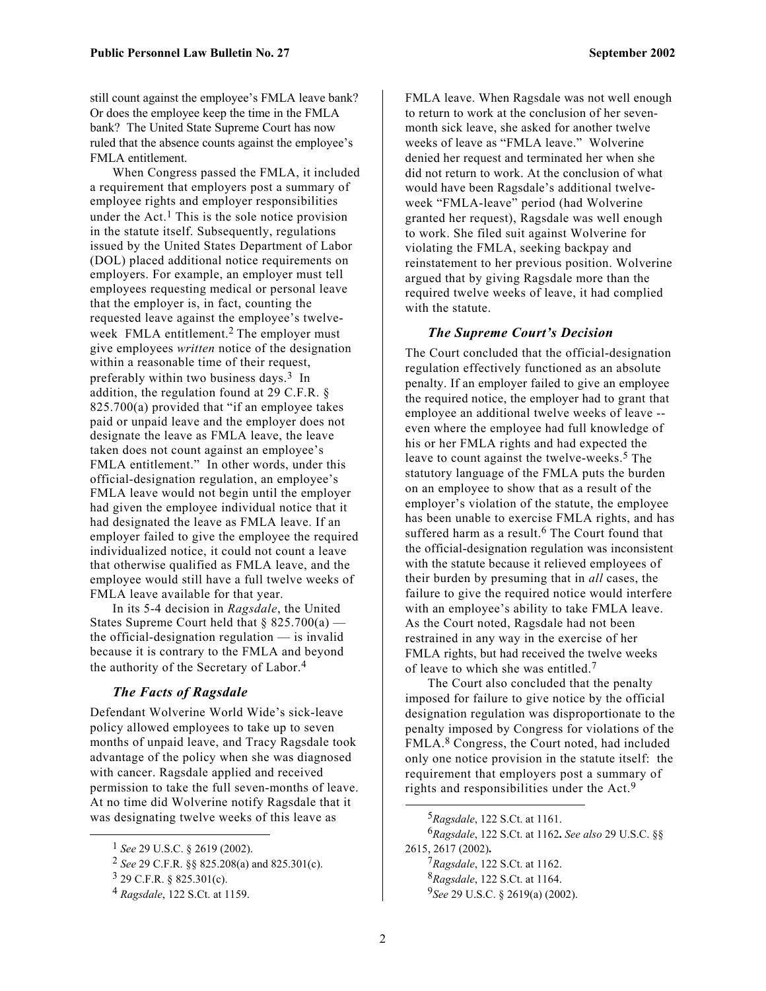still count against the employee's FMLA leave bank? Or does the employee keep the time in the FMLA bank? The United State Supreme Court has now ruled that the absence counts against the employee's FMLA entitlement.

When Congress passed the FMLA, it included a requirement that employers post a summary of employee rights and employer responsibilities under the Act.<sup>1</sup> This is the sole notice provision in the statute itself. Subsequently, regulations issued by the United States Department of Labor (DOL) placed additional notice requirements on employers. For example, an employer must tell employees requesting medical or personal leave that the employer is, in fact, counting the requested leave against the employee's twelveweek FMLA entitlement. [2](#page-1-1) The employer must give employees *written* notice of the designation within a reasonable time of their request, preferably within two business days.<sup>3</sup> In addition, the regulation found at 29 C.F.R. § 825.700(a) provided that "if an employee takes paid or unpaid leave and the employer does not designate the leave as FMLA leave, the leave taken does not count against an employee's FMLA entitlement." In other words, under this official-designation regulation, an employee's FMLA leave would not begin until the employer had given the employee individual notice that it had designated the leave as FMLA leave. If an employer failed to give the employee the required individualized notice, it could not count a leave that otherwise qualified as FMLA leave, and the employee would still have a full twelve weeks of FMLA leave available for that year.

In its 5-4 decision in *Ragsdale*, the United States Supreme Court held that  $\S 825.700(a)$  the official-designation regulation — is invalid because it is contrary to the FMLA and beyond the authority of the Secretary of Labor.[4](#page-1-3)

#### *The Facts of Ragsdale*

Defendant Wolverine World Wide's sick-leave policy allowed employees to take up to seven months of unpaid leave, and Tracy Ragsdale took advantage of the policy when she was diagnosed with cancer. Ragsdale applied and received permission to take the full seven-months of leave. At no time did Wolverine notify Ragsdale that it was designating twelve weeks of this leave as

 $\overline{a}$ 

FMLA leave. When Ragsdale was not well enough to return to work at the conclusion of her sevenmonth sick leave, she asked for another twelve weeks of leave as "FMLA leave." Wolverine denied her request and terminated her when she did not return to work. At the conclusion of what would have been Ragsdale's additional twelveweek "FMLA-leave" period (had Wolverine granted her request), Ragsdale was well enough to work. She filed suit against Wolverine for violating the FMLA, seeking backpay and reinstatement to her previous position. Wolverine argued that by giving Ragsdale more than the required twelve weeks of leave, it had complied with the statute.

#### *The Supreme Court's Decision*

The Court concluded that the official-designation regulation effectively functioned as an absolute penalty. If an employer failed to give an employee the required notice, the employer had to grant that employee an additional twelve weeks of leave - even where the employee had full knowledge of his or her FMLA rights and had expected the leave to count against the twelve-weeks.<sup>5</sup> The statutory language of the FMLA puts the burden on an employee to show that as a result of the employer's violation of the statute, the employee has been unable to exercise FMLA rights, and has suffered harm as a result.<sup>6</sup> The Court found that the official-designation regulation was inconsistent with the statute because it relieved employees of their burden by presuming that in *all* cases, the failure to give the required notice would interfere with an employee's ability to take FMLA leave. As the Court noted, Ragsdale had not been restrained in any way in the exercise of her FMLA rights, but had received the twelve weeks of leave to which she was entitled.<sup>[7](#page-1-6)</sup>

The Court also concluded that the penalty imposed for failure to give notice by the official designation regulation was disproportionate to the penalty imposed by Congress for violations of the FMLA.[8](#page-1-7) Congress, the Court noted, had included only one notice provision in the statute itself: the requirement that employers post a summary of rights and responsibilities under the Act.[9](#page-1-8) 

<span id="page-1-8"></span><span id="page-1-7"></span><span id="page-1-6"></span><span id="page-1-5"></span><span id="page-1-4"></span>*Ragsdale*, 122 S.Ct. at 1161. *Ragsdale*, 122 S.Ct. at 1162**.** *See also* 29 U.S.C. §§ 2615, 2617 (2002)**.**  *Ragsdale*, 122 S.Ct. at 1162. *Ragsdale*, 122 S.Ct. at 1164. *See* 29 U.S.C. § 2619(a) (2002).

1

<span id="page-1-0"></span><sup>1</sup> *See* 29 U.S.C. § 2619 (2002).

<span id="page-1-1"></span><sup>2</sup> *See* 29 C.F.R. §§ 825.208(a) and 825.301(c).

<span id="page-1-2"></span> $3$  29 C.F.R. § 825.301(c).

<span id="page-1-3"></span><sup>4</sup> *Ragsdale*, 122 S.Ct. at 1159.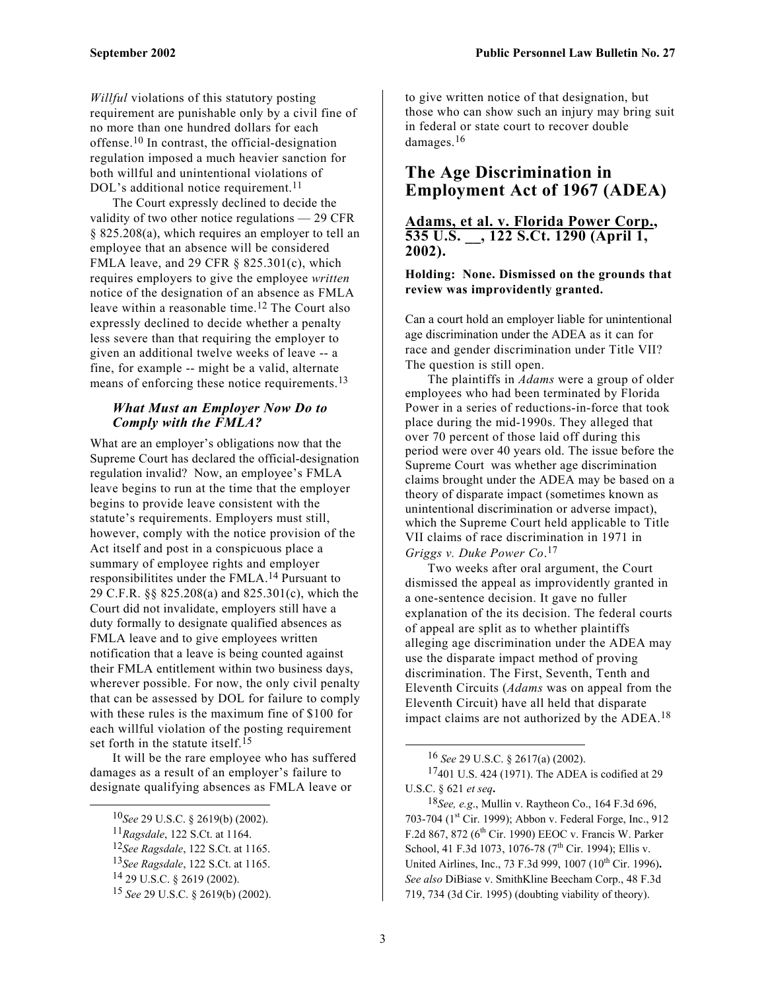*Willful* violations of this statutory posting requirement are punishable only by a civil fine of no more than one hundred dollars for each offense.[10](#page-2-0) In contrast, the official-designation regulation imposed a much heavier sanction for both willful and unintentional violations of DOL's additional notice requirement.<sup>11</sup>

The Court expressly declined to decide the validity of two other notice regulations — 29 CFR § 825.208(a), which requires an employer to tell an employee that an absence will be considered FMLA leave, and 29 CFR  $\S$  825.301(c), which requires employers to give the employee *written* notice of the designation of an absence as FMLA leave within a reasonable time.[12](#page-2-2) The Court also expressly declined to decide whether a penalty less severe than that requiring the employer to given an additional twelve weeks of leave -- a fine, for example -- might be a valid, alternate means of enforcing these notice requirements.<sup>[13](#page-2-3)</sup>

#### *What Must an Employer Now Do to Comply with the FMLA?*

What are an employer's obligations now that the Supreme Court has declared the official-designation regulation invalid? Now, an employee's FMLA leave begins to run at the time that the employer begins to provide leave consistent with the statute's requirements. Employers must still, however, comply with the notice provision of the Act itself and post in a conspicuous place a summary of employee rights and employer responsibilitites under the FMLA.[14](#page-2-4) Pursuant to 29 C.F.R. §§ 825.208(a) and 825.301(c), which the Court did not invalidate, employers still have a duty formally to designate qualified absences as FMLA leave and to give employees written notification that a leave is being counted against their FMLA entitlement within two business days, wherever possible. For now, the only civil penalty that can be assessed by DOL for failure to comply with these rules is the maximum fine of \$100 for each willful violation of the posting requirement set forth in the statute itself.<sup>15</sup>

It will be the rare employee who has suffered damages as a result of an employer's failure to designate qualifying absences as FMLA leave or

to give written notice of that designation, but those who can show such an injury may bring suit in federal or state court to recover double damages.[16](#page-2-6) 

### **The Age Discrimination in Employment Act of 1967 (ADEA)**

**Adams, et al. v. Florida Power Corp., 535 U.S. \_\_, 122 S.Ct. 1290 (April 1, 2002).** 

#### **Holding: None. Dismissed on the grounds that review was improvidently granted.**

Can a court hold an employer liable for unintentional age discrimination under the ADEA as it can for race and gender discrimination under Title VII? The question is still open.

The plaintiffs in *Adams* were a group of older employees who had been terminated by Florida Power in a series of reductions-in-force that took place during the mid-1990s. They alleged that over 70 percent of those laid off during this period were over 40 years old. The issue before the Supreme Court was whether age discrimination claims brought under the ADEA may be based on a theory of disparate impact (sometimes known as unintentional discrimination or adverse impact), which the Supreme Court held applicable to Title VII claims of race discrimination in 1971 in *Griggs v. Duke Power Co*. [17](#page-2-7) 

Two weeks after oral argument, the Court dismissed the appeal as improvidently granted in a one-sentence decision. It gave no fuller explanation of the its decision. The federal courts of appeal are split as to whether plaintiffs alleging age discrimination under the ADEA may use the disparate impact method of proving discrimination. The First, Seventh, Tenth and Eleventh Circuits (*Adams* was on appeal from the Eleventh Circuit) have all held that disparate impact claims are not authorized by the ADEA.<sup>18</sup>

<span id="page-2-7"></span><span id="page-2-6"></span>16 *See* 29 U.S.C. § 2617(a) (2002).

<span id="page-2-8"></span>18*See, e.g*., Mullin v. Raytheon Co., 164 F.3d 696, 703-704 (1<sup>st</sup> Cir. 1999); Abbon v. Federal Forge, Inc., 912 F.2d 867, 872 ( $6<sup>th</sup>$  Cir. 1990) EEOC v. Francis W. Parker School, 41 F.3d 1073, 1076-78 (7<sup>th</sup> Cir. 1994); Ellis v. United Airlines, Inc., 73 F.3d 999, 1007 (10<sup>th</sup> Cir. 1996). *See also* DiBiase v. SmithKline Beecham Corp., 48 F.3d 719, 734 (3d Cir. 1995) (doubting viability of theory).

<span id="page-2-0"></span> <sup>10</sup>*See* 29 U.S.C. § 2619(b) (2002).

<span id="page-2-1"></span><sup>11</sup>*Ragsdale*, 122 S.Ct. at 1164.

<span id="page-2-2"></span><sup>12</sup>*See Ragsdale*, 122 S.Ct. at 1165.

<span id="page-2-3"></span><sup>13</sup>*See Ragsdale*, 122 S.Ct. at 1165.

<span id="page-2-4"></span><sup>14 29</sup> U.S.C. § 2619 (2002).

<span id="page-2-5"></span><sup>15</sup> *See* 29 U.S.C. § 2619(b) (2002).

<sup>17401</sup> U.S. 424 (1971). The ADEA is codified at 29 U.S.C. § 621 *et seq***.**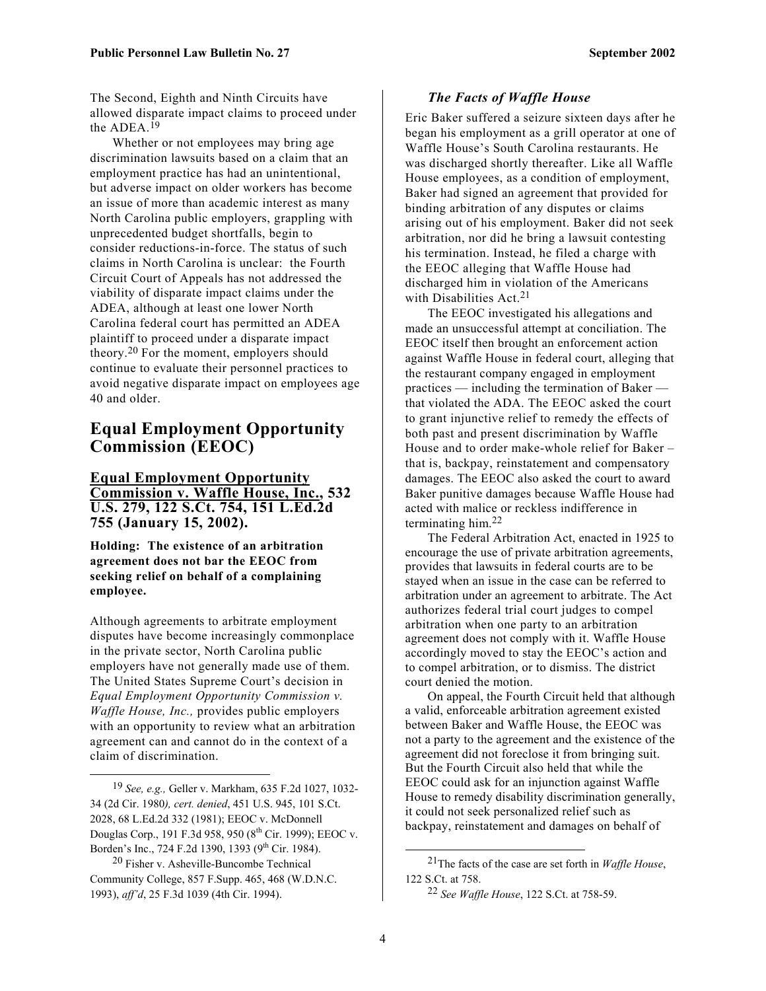The Second, Eighth and Ninth Circuits have allowed disparate impact claims to proceed under the ADEA.[19](#page-3-0) 

Whether or not employees may bring age discrimination lawsuits based on a claim that an employment practice has had an unintentional, but adverse impact on older workers has become an issue of more than academic interest as many North Carolina public employers, grappling with unprecedented budget shortfalls, begin to consider reductions-in-force. The status of such claims in North Carolina is unclear: the Fourth Circuit Court of Appeals has not addressed the viability of disparate impact claims under the ADEA, although at least one lower North Carolina federal court has permitted an ADEA plaintiff to proceed under a disparate impact theory.[20](#page-3-1) For the moment, employers should continue to evaluate their personnel practices to avoid negative disparate impact on employees age 40 and older.

## **Equal Employment Opportunity Commission (EEOC)**

**Equal Employment Opportunity Commission v. Waffle House, Inc., 532 U.S. 279, 122 S.Ct. 754, 151 L.Ed.2d 755 (January 15, 2002).** 

**Holding: The existence of an arbitration agreement does not bar the EEOC from seeking relief on behalf of a complaining employee.** 

Although agreements to arbitrate employment disputes have become increasingly commonplace in the private sector, North Carolina public employers have not generally made use of them. The United States Supreme Court's decision in *Equal Employment Opportunity Commission v. Waffle House, Inc.,* provides public employers with an opportunity to review what an arbitration agreement can and cannot do in the context of a claim of discrimination.

 $\overline{a}$ 

#### *The Facts of Waffle House*

Eric Baker suffered a seizure sixteen days after he began his employment as a grill operator at one of Waffle House's South Carolina restaurants. He was discharged shortly thereafter. Like all Waffle House employees, as a condition of employment, Baker had signed an agreement that provided for binding arbitration of any disputes or claims arising out of his employment. Baker did not seek arbitration, nor did he bring a lawsuit contesting his termination. Instead, he filed a charge with the EEOC alleging that Waffle House had discharged him in violation of the Americans with Disabilities  $Act.<sup>21</sup>$  $Act.<sup>21</sup>$  $Act.<sup>21</sup>$ 

The EEOC investigated his allegations and made an unsuccessful attempt at conciliation. The EEOC itself then brought an enforcement action against Waffle House in federal court, alleging that the restaurant company engaged in employment practices — including the termination of Baker that violated the ADA. The EEOC asked the court to grant injunctive relief to remedy the effects of both past and present discrimination by Waffle House and to order make-whole relief for Baker – that is, backpay, reinstatement and compensatory damages. The EEOC also asked the court to award Baker punitive damages because Waffle House had acted with malice or reckless indifference in terminating him. [22](#page-3-3)

The Federal Arbitration Act, enacted in 1925 to encourage the use of private arbitration agreements, provides that lawsuits in federal courts are to be stayed when an issue in the case can be referred to arbitration under an agreement to arbitrate. The Act authorizes federal trial court judges to compel arbitration when one party to an arbitration agreement does not comply with it. Waffle House accordingly moved to stay the EEOC's action and to compel arbitration, or to dismiss. The district court denied the motion.

On appeal, the Fourth Circuit held that although a valid, enforceable arbitration agreement existed between Baker and Waffle House, the EEOC was not a party to the agreement and the existence of the agreement did not foreclose it from bringing suit. But the Fourth Circuit also held that while the EEOC could ask for an injunction against Waffle House to remedy disability discrimination generally, it could not seek personalized relief such as backpay, reinstatement and damages on behalf of

<span id="page-3-0"></span><sup>19</sup> *See, e.g.,* Geller v. Markham, 635 F.2d 1027, 1032- 34 (2d Cir. 1980*), cert. denied*, 451 U.S. 945, 101 S.Ct. 2028, 68 L.Ed.2d 332 (1981); EEOC v. McDonnell Douglas Corp., 191 F.3d 958, 950 (8<sup>th</sup> Cir. 1999); EEOC v. Borden's Inc., 724 F.2d 1390, 1393 (9<sup>th</sup> Cir. 1984).

<span id="page-3-1"></span><sup>20</sup> Fisher v. Asheville-Buncombe Technical Community College, 857 F.Supp. 465, 468 (W.D.N.C. 1993), *aff'd*, 25 F.3d 1039 (4th Cir. 1994).

<sup>21</sup>The facts of the case are set forth in *Waffle House*, 122 S.Ct. at 758.

<span id="page-3-3"></span><span id="page-3-2"></span><sup>22</sup> *See Waffle House*, 122 S.Ct. at 758-59.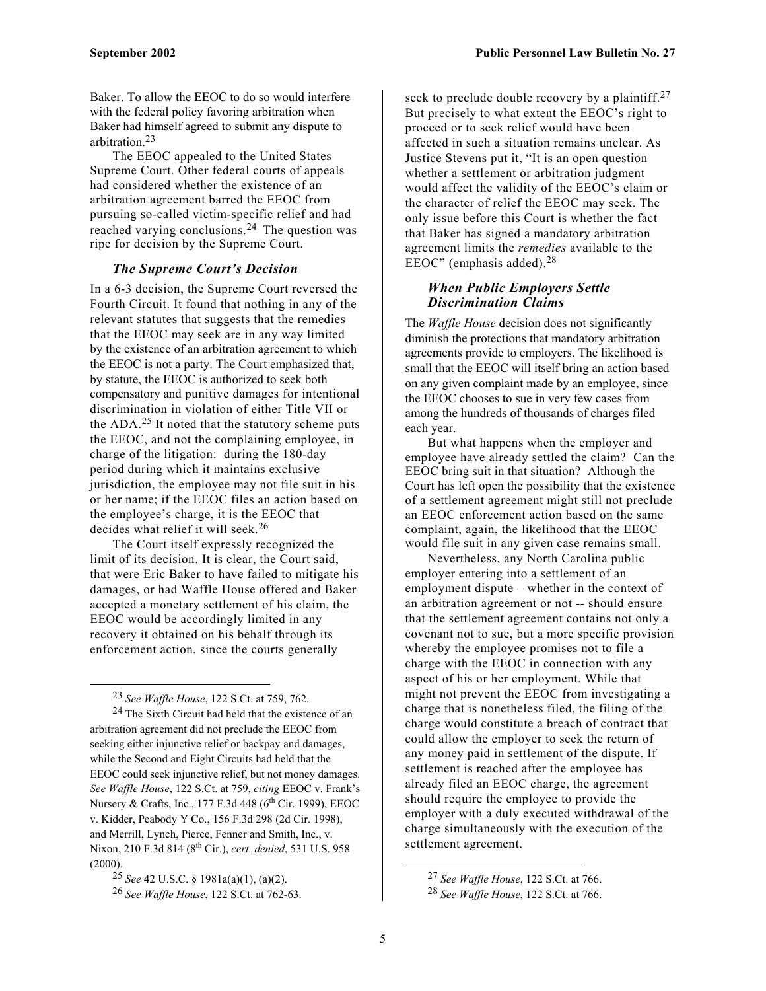Baker. To allow the EEOC to do so would interfere with the federal policy favoring arbitration when Baker had himself agreed to submit any dispute to arbitration. [23](#page-4-0)

The EEOC appealed to the United States Supreme Court. Other federal courts of appeals had considered whether the existence of an arbitration agreement barred the EEOC from pursuing so-called victim-specific relief and had reached varying conclusions.[24](#page-4-1) The question was ripe for decision by the Supreme Court.

#### *The Supreme Court's Decision*

In a 6-3 decision, the Supreme Court reversed the Fourth Circuit. It found that nothing in any of the relevant statutes that suggests that the remedies that the EEOC may seek are in any way limited by the existence of an arbitration agreement to which the EEOC is not a party. The Court emphasized that, by statute, the EEOC is authorized to seek both compensatory and punitive damages for intentional discrimination in violation of either Title VII or the ADA.[25](#page-4-2) It noted that the statutory scheme puts the EEOC, and not the complaining employee, in charge of the litigation: during the 180-day period during which it maintains exclusive jurisdiction, the employee may not file suit in his or her name; if the EEOC files an action based on the employee's charge, it is the EEOC that decides what relief it will seek. [26](#page-4-3) 

The Court itself expressly recognized the limit of its decision. It is clear, the Court said, that were Eric Baker to have failed to mitigate his damages, or had Waffle House offered and Baker accepted a monetary settlement of his claim, the EEOC would be accordingly limited in any recovery it obtained on his behalf through its enforcement action, since the courts generally

<span id="page-4-1"></span><span id="page-4-0"></span>23 *See Waffle House*, 122 S.Ct. at 759, 762.

 $\overline{a}$ 

24 The Sixth Circuit had held that the existence of an arbitration agreement did not preclude the EEOC from seeking either injunctive relief or backpay and damages, while the Second and Eight Circuits had held that the EEOC could seek injunctive relief, but not money damages. *See Waffle House*, 122 S.Ct. at 759, *citing* EEOC v. Frank's Nursery & Crafts, Inc., 177 F.3d 448 (6<sup>th</sup> Cir. 1999), EEOC v. Kidder, Peabody Y Co., 156 F.3d 298 (2d Cir. 1998), and Merrill, Lynch, Pierce, Fenner and Smith, Inc., v. Nixon, 210 F.3d 814 (8th Cir.), *cert. denied*, 531 U.S. 958 (2000).

<span id="page-4-3"></span>26 *See Waffle House*, 122 S.Ct. at 762-63.

seek to preclude double recovery by a plaintiff.<sup>27</sup> But precisely to what extent the EEOC's right to proceed or to seek relief would have been affected in such a situation remains unclear. As Justice Stevens put it, "It is an open question whether a settlement or arbitration judgment would affect the validity of the EEOC's claim or the character of relief the EEOC may seek. The only issue before this Court is whether the fact that Baker has signed a mandatory arbitration agreement limits the *remedies* available to the EEOC" (emphasis added). $28$ 

#### *When Public Employers Settle Discrimination Claims*

The *Waffle House* decision does not significantly diminish the protections that mandatory arbitration agreements provide to employers. The likelihood is small that the EEOC will itself bring an action based on any given complaint made by an employee, since the EEOC chooses to sue in very few cases from among the hundreds of thousands of charges filed each year.

But what happens when the employer and employee have already settled the claim? Can the EEOC bring suit in that situation? Although the Court has left open the possibility that the existence of a settlement agreement might still not preclude an EEOC enforcement action based on the same complaint, again, the likelihood that the EEOC would file suit in any given case remains small.

Nevertheless, any North Carolina public employer entering into a settlement of an employment dispute – whether in the context of an arbitration agreement or not -- should ensure that the settlement agreement contains not only a covenant not to sue, but a more specific provision whereby the employee promises not to file a charge with the EEOC in connection with any aspect of his or her employment. While that might not prevent the EEOC from investigating a charge that is nonetheless filed, the filing of the charge would constitute a breach of contract that could allow the employer to seek the return of any money paid in settlement of the dispute. If settlement is reached after the employee has already filed an EEOC charge, the agreement should require the employee to provide the employer with a duly executed withdrawal of the charge simultaneously with the execution of the settlement agreement.

<span id="page-4-2"></span><sup>25</sup> *See* 42 U.S.C. § 1981a(a)(1), (a)(2).

<span id="page-4-4"></span><sup>27</sup> *See Waffle House*, 122 S.Ct. at 766.

<span id="page-4-5"></span><sup>28</sup> *See Waffle House*, 122 S.Ct. at 766.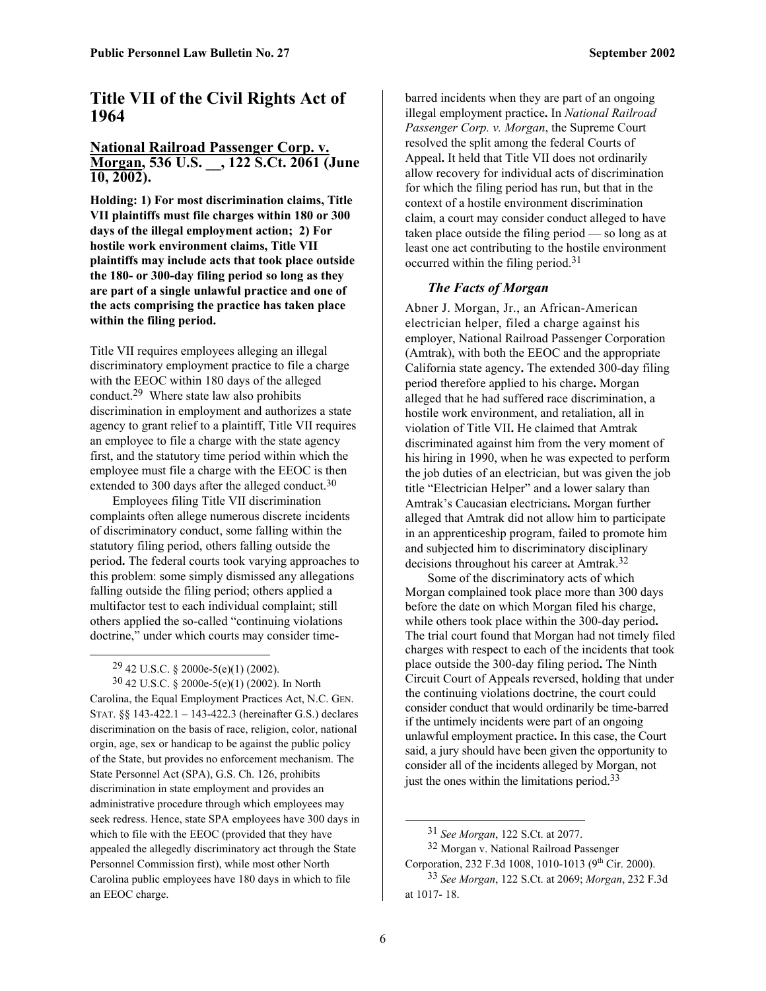# **Title VII of the Civil Rights Act of 1964**

#### **National Railroad Passenger Corp. v. Morgan, 536 U.S. \_\_, 122 S.Ct. 2061 (June 10, 2002).**

**Holding: 1) For most discrimination claims, Title VII plaintiffs must file charges within 180 or 300 days of the illegal employment action; 2) For hostile work environment claims, Title VII plaintiffs may include acts that took place outside the 180- or 300-day filing period so long as they are part of a single unlawful practice and one of the acts comprising the practice has taken place within the filing period.** 

Title VII requires employees alleging an illegal discriminatory employment practice to file a charge with the EEOC within 180 days of the alleged conduct. [29](#page-5-0) Where state law also prohibits discrimination in employment and authorizes a state agency to grant relief to a plaintiff, Title VII requires an employee to file a charge with the state agency first, and the statutory time period within which the employee must file a charge with the EEOC is then extended to 300 days after the alleged conduct.<sup>30</sup>

Employees filing Title VII discrimination complaints often allege numerous discrete incidents of discriminatory conduct, some falling within the statutory filing period, others falling outside the period**.** The federal courts took varying approaches to this problem: some simply dismissed any allegations falling outside the filing period; others applied a multifactor test to each individual complaint; still others applied the so-called "continuing violations doctrine," under which courts may consider time-

<span id="page-5-1"></span><span id="page-5-0"></span>29 42 U.S.C. § 2000e-5(e)(1) (2002).

1

30 42 U.S.C. § 2000e-5(e)(1) (2002). In North Carolina, the Equal Employment Practices Act, N.C. GEN. STAT. §§ 143-422.1 – 143-422.3 (hereinafter G.S.) declares discrimination on the basis of race, religion, color, national orgin, age, sex or handicap to be against the public policy of the State, but provides no enforcement mechanism. The State Personnel Act (SPA), G.S. Ch. 126, prohibits discrimination in state employment and provides an administrative procedure through which employees may seek redress. Hence, state SPA employees have 300 days in which to file with the EEOC (provided that they have appealed the allegedly discriminatory act through the State Personnel Commission first), while most other North Carolina public employees have 180 days in which to file an EEOC charge.

barred incidents when they are part of an ongoing illegal employment practice**.** In *National Railroad Passenger Corp. v. Morgan*, the Supreme Court resolved the split among the federal Courts of Appeal**.** It held that Title VII does not ordinarily allow recovery for individual acts of discrimination for which the filing period has run, but that in the context of a hostile environment discrimination claim, a court may consider conduct alleged to have taken place outside the filing period — so long as at least one act contributing to the hostile environment occurred within the filing period[.31](#page-5-2)

#### *The Facts of Morgan*

Abner J. Morgan, Jr., an African-American electrician helper, filed a charge against his employer, National Railroad Passenger Corporation (Amtrak), with both the EEOC and the appropriate California state agency**.** The extended 300-day filing period therefore applied to his charge**.** Morgan alleged that he had suffered race discrimination, a hostile work environment, and retaliation, all in violation of Title VII**.** He claimed that Amtrak discriminated against him from the very moment of his hiring in 1990, when he was expected to perform the job duties of an electrician, but was given the job title "Electrician Helper" and a lower salary than Amtrak's Caucasian electricians**.** Morgan further alleged that Amtrak did not allow him to participate in an apprenticeship program, failed to promote him and subjected him to discriminatory disciplinary decisions throughout his career at Amtrak.[32](#page-5-3) 

Some of the discriminatory acts of which Morgan complained took place more than 300 days before the date on which Morgan filed his charge, while others took place within the 300-day period**.**  The trial court found that Morgan had not timely filed charges with respect to each of the incidents that took place outside the 300-day filing period**.** The Ninth Circuit Court of Appeals reversed, holding that under the continuing violations doctrine, the court could consider conduct that would ordinarily be time-barred if the untimely incidents were part of an ongoing unlawful employment practice**.** In this case, the Court said, a jury should have been given the opportunity to consider all of the incidents alleged by Morgan, not just the ones within the limitations period.<sup>[33](#page-5-4)</sup>

32 Morgan v. National Railroad Passenger Corporation, 232 F.3d 1008, 1010-1013 (9<sup>th</sup> Cir. 2000).

<span id="page-5-3"></span><span id="page-5-2"></span><sup>31</sup> *See Morgan*, 122 S.Ct. at 2077.

<span id="page-5-4"></span><sup>33</sup> *See Morgan*, 122 S.Ct. at 2069; *Morgan*, 232 F.3d at 1017- 18.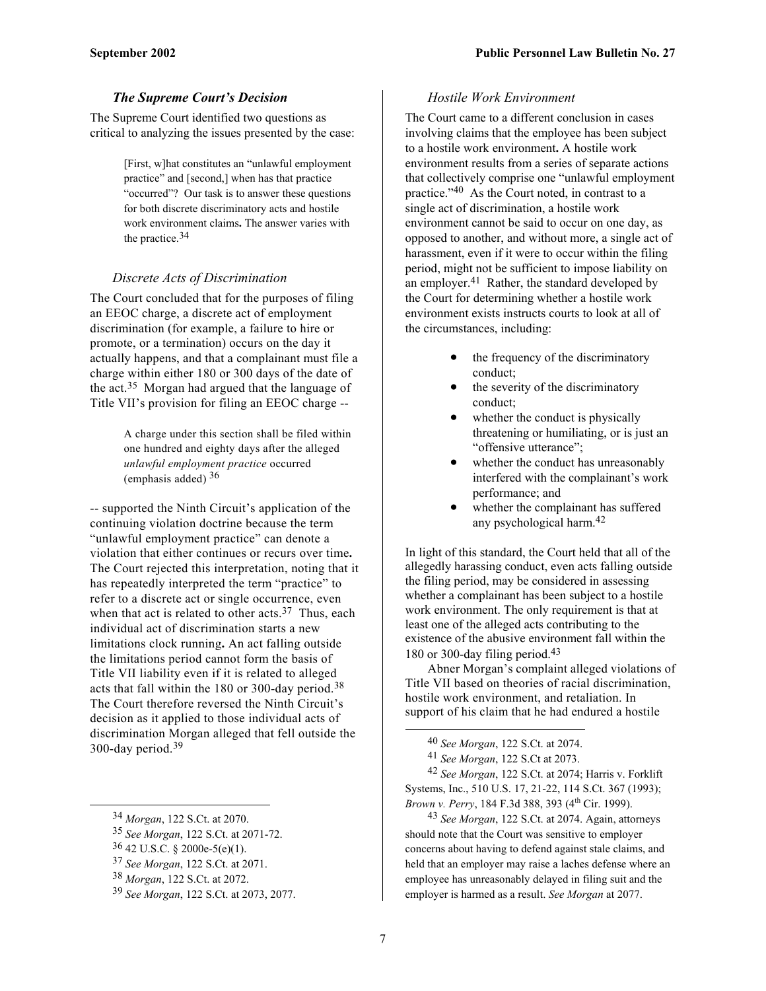#### *The Supreme Court's Decision*

The Supreme Court identified two questions as critical to analyzing the issues presented by the case:

> [First, w]hat constitutes an "unlawful employment practice" and [second,] when has that practice "occurred"? Our task is to answer these questions for both discrete discriminatory acts and hostile work environment claims**.** The answer varies with the practice.[34](#page-6-0)

#### *Discrete Acts of Discrimination*

The Court concluded that for the purposes of filing an EEOC charge, a discrete act of employment discrimination (for example, a failure to hire or promote, or a termination) occurs on the day it actually happens, and that a complainant must file a charge within either 180 or 300 days of the date of the act.[35](#page-6-1) Morgan had argued that the language of Title VII's provision for filing an EEOC charge --

> A charge under this section shall be filed within one hundred and eighty days after the alleged *unlawful employment practice* occurred (emphasis added)  $36$

-- supported the Ninth Circuit's application of the continuing violation doctrine because the term "unlawful employment practice" can denote a violation that either continues or recurs over time**.**  The Court rejected this interpretation, noting that it has repeatedly interpreted the term "practice" to refer to a discrete act or single occurrence, even when that act is related to other acts.<sup>37</sup> Thus, each individual act of discrimination starts a new limitations clock running**.** An act falling outside the limitations period cannot form the basis of Title VII liability even if it is related to alleged acts that fall within the 180 or 300-day period.[38](#page-6-4)  The Court therefore reversed the Ninth Circuit's decision as it applied to those individual acts of discrimination Morgan alleged that fell outside the 300-day period.[39](#page-6-5)

 $\overline{a}$ 

#### *Hostile Work Environment*

The Court came to a different conclusion in cases involving claims that the employee has been subject to a hostile work environment**.** A hostile work environment results from a series of separate actions that collectively comprise one "unlawful employment practice."[40](#page-6-6) As the Court noted, in contrast to a single act of discrimination, a hostile work environment cannot be said to occur on one day, as opposed to another, and without more, a single act of harassment, even if it were to occur within the filing period, might not be sufficient to impose liability on an employer. $41$  Rather, the standard developed by the Court for determining whether a hostile work environment exists instructs courts to look at all of the circumstances, including:

- the frequency of the discriminatory conduct;
- the severity of the discriminatory conduct;
- whether the conduct is physically threatening or humiliating, or is just an "offensive utterance";
- whether the conduct has unreasonably interfered with the complainant's work performance; and
- whether the complainant has suffered any psychological harm. [42](#page-6-8)

In light of this standard, the Court held that all of the allegedly harassing conduct, even acts falling outside the filing period, may be considered in assessing whether a complainant has been subject to a hostile work environment. The only requirement is that at least one of the alleged acts contributing to the existence of the abusive environment fall within the 180 or 300-day filing period.[43](#page-6-9)

Abner Morgan's complaint alleged violations of Title VII based on theories of racial discrimination, hostile work environment, and retaliation. In support of his claim that he had endured a hostile

<span id="page-6-9"></span>43 *See Morgan*, 122 S.Ct. at 2074. Again, attorneys should note that the Court was sensitive to employer concerns about having to defend against stale claims, and held that an employer may raise a laches defense where an employee has unreasonably delayed in filing suit and the employer is harmed as a result. *See Morgan* at 2077.

<span id="page-6-0"></span><sup>34</sup> *Morgan*, 122 S.Ct. at 2070.

<span id="page-6-1"></span><sup>35</sup> *See Morgan*, 122 S.Ct. at 2071-72.

<span id="page-6-2"></span><sup>36 42</sup> U.S.C. § 2000e-5(e)(1).

<span id="page-6-3"></span><sup>37</sup> *See Morgan*, 122 S.Ct. at 2071.

<span id="page-6-4"></span><sup>38</sup> *Morgan*, 122 S.Ct. at 2072.

<span id="page-6-5"></span><sup>39</sup> *See Morgan*, 122 S.Ct. at 2073, 2077.

<span id="page-6-6"></span><sup>40</sup> *See Morgan*, 122 S.Ct. at 2074.

<span id="page-6-8"></span><span id="page-6-7"></span><sup>41</sup> *See Morgan*, 122 S.Ct at 2073.

<sup>42</sup> *See Morgan*, 122 S.Ct. at 2074; Harris v. Forklift Systems, Inc., 510 U.S. 17, 21-22, 114 S.Ct. 367 (1993); *Brown v. Perry*, 184 F.3d 388, 393 (4<sup>th</sup> Cir. 1999).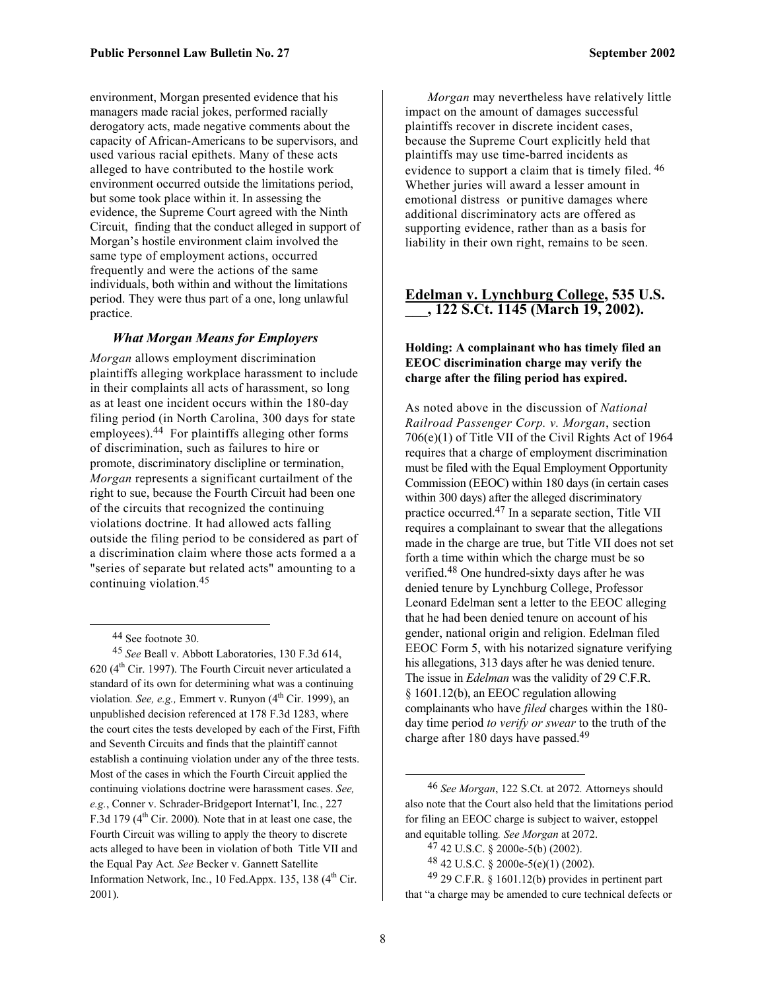<span id="page-7-5"></span>environment, Morgan presented evidence that his managers made racial jokes, performed racially derogatory acts, made negative comments about the capacity of African-Americans to be supervisors, and used various racial epithets. Many of these acts alleged to have contributed to the hostile work environment occurred outside the limitations period, but some took place within it. In assessing the evidence, the Supreme Court agreed with the Ninth Circuit, finding that the conduct alleged in support of Morgan's hostile environment claim involved the same type of employment actions, occurred frequently and were the actions of the same individuals, both within and without the limitations period. They were thus part of a one, long unlawful practice.

#### *What Morgan Means for Employers*

*Morgan* allows employment discrimination plaintiffs alleging workplace harassment to include in their complaints all acts of harassment, so long as at least one incident occurs within the 180-day filing period (in North Carolina, 300 days for state employees).[44](#page-7-0) For plaintiffs alleging other forms of discrimination, such as failures to hire or promote, discriminatory disclipline or termination, *Morgan* represents a significant curtailment of the right to sue, because the Fourth Circuit had been one of the circuits that recognized the continuing violations doctrine. It had allowed acts falling outside the filing period to be considered as part of a discrimination claim where those acts formed a a "series of separate but related acts" amounting to a continuing violation.[45](#page-7-1) 

45 *See* Beall v. Abbott Laboratories, 130 F.3d 614, 620 ( $4<sup>th</sup>$  Cir. 1997). The Fourth Circuit never articulated a standard of its own for determining what was a continuing violation. See, e.g., Emmert v. Runyon (4<sup>th</sup> Cir. 1999), an unpublished decision referenced at 178 F.3d 1283, where the court cites the tests developed by each of the First, Fifth and Seventh Circuits and finds that the plaintiff cannot establish a continuing violation under any of the three tests. Most of the cases in which the Fourth Circuit applied the continuing violations doctrine were harassment cases. *See, e.g.*, Conner v. Schrader-Bridgeport Internat'l, Inc*.*, 227 F.3d 179 (4<sup>th</sup> Cir. 2000). Note that in at least one case, the Fourth Circuit was willing to apply the theory to discrete acts alleged to have been in violation of both Title VII and the Equal Pay Act*. See* Becker v. Gannett Satellite Information Network, Inc., 10 Fed.Appx. 135, 138  $(4<sup>th</sup> Cir.$ 2001).

*Morgan* may nevertheless have relatively little impact on the amount of damages successful plaintiffs recover in discrete incident cases, because the Supreme Court explicitly held that plaintiffs may use time-barred incidents as evidence to support a claim that is timely filed. <sup>46</sup> Whether juries will award a lesser amount in emotional distress or punitive damages where additional discriminatory acts are offered as supporting evidence, rather than as a basis for liability in their own right, remains to be seen.

#### **Edelman v. Lynchburg College, 535 U.S. \_\_\_, 122 S.Ct. 1145 (March 19, 2002).**

#### **Holding: A complainant who has timely filed an EEOC discrimination charge may verify the charge after the filing period has expired.**

As noted above in the discussion of *National Railroad Passenger Corp. v. Morgan*, section 706(e)(1) of Title VII of the Civil Rights Act of 1964 requires that a charge of employment discrimination must be filed with the Equal Employment Opportunity Commission (EEOC) within 180 days (in certain cases within 300 days) after the alleged discriminatory practice occurred.[47](#page-7-3) In a separate section, Title VII requires a complainant to swear that the allegations made in the charge are true, but Title VII does not set forth a time within which the charge must be so verified.[48](#page-7-4) One hundred-sixty days after he was denied tenure by Lynchburg College, Professor Leonard Edelman sent a letter to the EEOC alleging that he had been denied tenure on account of his gender, national origin and religion. Edelman filed EEOC Form 5, with his notarized signature verifying his allegations, 313 days after he was denied tenure. The issue in *Edelman* was the validity of 29 C.F.R. § 1601.12(b), an EEOC regulation allowing complainants who have *filed* charges within the 180 day time period *to verify or swear* to the truth of the charge after 180 days have passed.<sup>49</sup>

 $49$  29 C.F.R. § 1601.12(b) provides in pertinent part that "a charge may be amended to cure technical defects or

<span id="page-7-1"></span><span id="page-7-0"></span> <sup>44</sup> See footnote 30.

<span id="page-7-2"></span> <sup>46</sup> *See Morgan*, 122 S.Ct. at 2072*.* Attorneys should also note that the Court also held that the limitations period for filing an EEOC charge is subject to waiver, estoppel and equitable tolling*. See Morgan* at 2072.

<span id="page-7-3"></span> $47$  42 U.S.C. § 2000e-5(b) (2002).

<span id="page-7-4"></span><sup>48 42</sup> U.S.C. § 2000e-5(e)(1) (2002).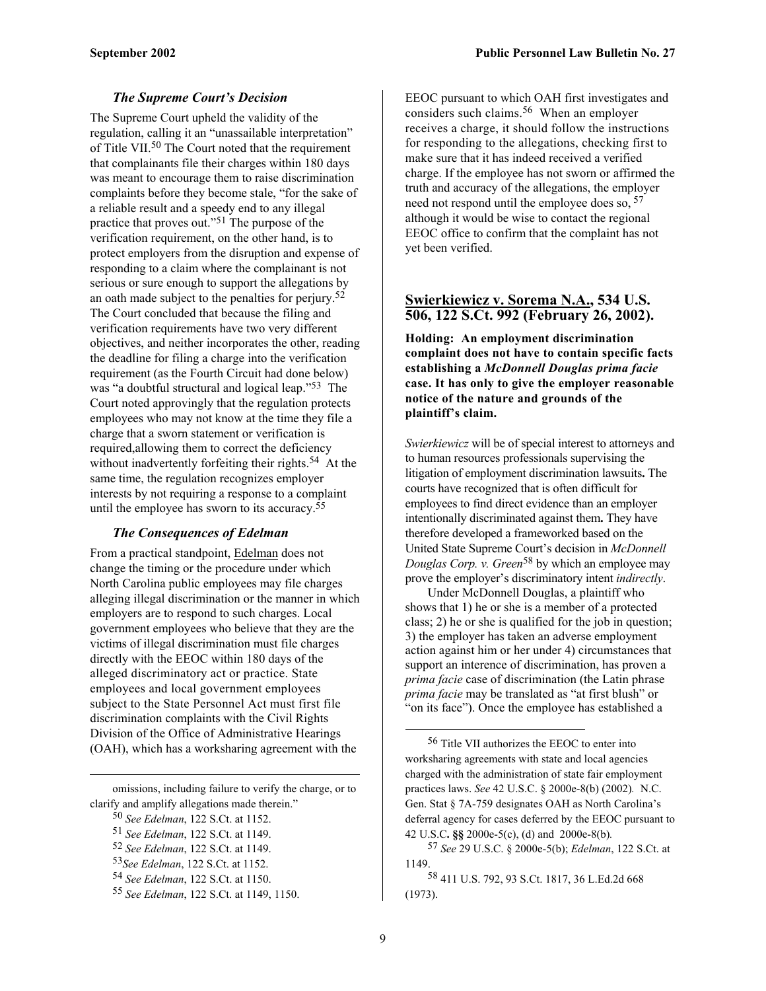#### *The Supreme Court's Decision*

The Supreme Court upheld the validity of the regulation, calling it an "unassailable interpretation" of Title VII[.50](#page-8-0) The Court noted that the requirement that complainants file their charges within 180 days was meant to encourage them to raise discrimination complaints before they become stale, "for the sake of a reliable result and a speedy end to any illegal practice that proves out."[51](#page-8-1) The purpose of the verification requirement, on the other hand, is to protect employers from the disruption and expense of responding to a claim where the complainant is not serious or sure enough to support the allegations by an oath made subject to the penalties for perjury.<sup>52</sup> The Court concluded that because the filing and verification requirements have two very different objectives, and neither incorporates the other, reading the deadline for filing a charge into the verification requirement (as the Fourth Circuit had done below) was "a doubtful structural and logical leap."[53](#page-8-3) The Court noted approvingly that the regulation protects employees who may not know at the time they file a charge that a sworn statement or verification is required,allowing them to correct the deficiency without inadvertently forfeiting their rights.<sup>54</sup> At the same time, the regulation recognizes employer interests by not requiring a response to a complaint until the employee has sworn to its accuracy[.55](#page-8-5)

#### *The Consequences of Edelman*

From a practical standpoint, Edelman does not change the timing or the procedure under which North Carolina public employees may file charges alleging illegal discrimination or the manner in which employers are to respond to such charges. Local government employees who believe that they are the victims of illegal discrimination must file charges directly with the EEOC within 180 days of the alleged discriminatory act or practice. State employees and local government employees subject to the State Personnel Act must first file discrimination complaints with the Civil Rights Division of the Office of Administrative Hearings (OAH), which has a worksharing agreement with the

omissions, including failure to verify the charge, or to clarify and amplify allegations made therein."

<span id="page-8-0"></span>50 *See Edelman*, 122 S.Ct. at 1152.

1

EEOC pursuant to which OAH first investigates and considers such claims. [56](#page-8-6) When an employer receives a charge, it should follow the instructions for responding to the allegations, checking first to make sure that it has indeed received a verified charge. If the employee has not sworn or affirmed the truth and accuracy of the allegations, the employer need not respond until the employee does so, [57](#page-8-7) although it would be wise to contact the regional EEOC office to confirm that the complaint has not yet been verified.

#### **Swierkiewicz v. Sorema N.A., 534 U.S. 506, 122 S.Ct. 992 (February 26, 2002).**

**Holding: An employment discrimination complaint does not have to contain specific facts establishing a** *McDonnell Douglas prima facie* **case. It has only to give the employer reasonable notice of the nature and grounds of the plaintiff's claim.** 

*Swierkiewicz* will be of special interest to attorneys and to human resources professionals supervising the litigation of employment discrimination lawsuits**.** The courts have recognized that is often difficult for employees to find direct evidence than an employer intentionally discriminated against them**.** They have therefore developed a frameworked based on the United State Supreme Court's decision in *McDonnell Douglas Corp. v. Green*[58](#page-8-8) by which an employee may prove the employer's discriminatory intent *indirectly*.

Under McDonnell Douglas, a plaintiff who shows that 1) he or she is a member of a protected class; 2) he or she is qualified for the job in question; 3) the employer has taken an adverse employment action against him or her under 4) circumstances that support an interence of discrimination, has proven a *prima facie* case of discrimination (the Latin phrase *prima facie* may be translated as "at first blush" or "on its face"). Once the employee has established a

<span id="page-8-1"></span><sup>51</sup> *See Edelman*, 122 S.Ct. at 1149.

<span id="page-8-2"></span><sup>52</sup> *See Edelman*, 122 S.Ct. at 1149.

<span id="page-8-3"></span><sup>53</sup>*See Edelman*, 122 S.Ct. at 1152.

<span id="page-8-4"></span><sup>54</sup> *See Edelman*, 122 S.Ct. at 1150.

<span id="page-8-5"></span><sup>55</sup> *See Edelman*, 122 S.Ct. at 1149, 1150.

<span id="page-8-6"></span> <sup>56</sup> Title VII authorizes the EEOC to enter into worksharing agreements with state and local agencies charged with the administration of state fair employment practices laws. *See* 42 U.S.C. § 2000e-8(b) (2002)*.* N.C. Gen. Stat § 7A-759 designates OAH as North Carolina's deferral agency for cases deferred by the EEOC pursuant to 42 U.S.C**. §§** 2000e-5(c), (d) and 2000e-8(b)*.* 

<span id="page-8-7"></span><sup>57</sup> *See* 29 U.S.C. § 2000e-5(b); *Edelman*, 122 S.Ct. at 1149.

<span id="page-8-8"></span><sup>58 411</sup> U.S. 792, 93 S.Ct. 1817, 36 L.Ed.2d 668 (1973).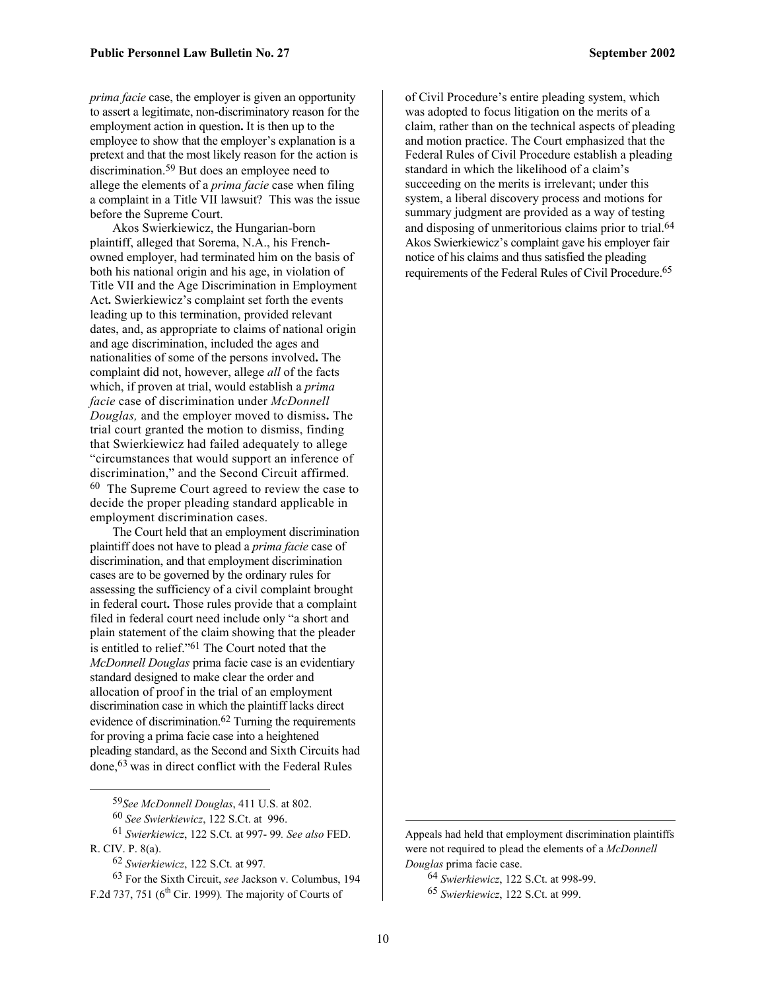*prima facie* case, the employer is given an opportunity to assert a legitimate, non-discriminatory reason for the employment action in question**.** It is then up to the employee to show that the employer's explanation is a pretext and that the most likely reason for the action is discrimination[.59](#page-9-0) But does an employee need to allege the elements of a *prima facie* case when filing a complaint in a Title VII lawsuit? This was the issue before the Supreme Court.

Akos Swierkiewicz, the Hungarian-born plaintiff, alleged that Sorema, N.A., his Frenchowned employer, had terminated him on the basis of both his national origin and his age, in violation of Title VII and the Age Discrimination in Employment Act**.** Swierkiewicz's complaint set forth the events leading up to this termination, provided relevant dates, and, as appropriate to claims of national origin and age discrimination, included the ages and nationalities of some of the persons involved**.** The complaint did not, however, allege *all* of the facts which, if proven at trial, would establish a *prima facie* case of discrimination under *McDonnell Douglas,* and the employer moved to dismiss**.** The trial court granted the motion to dismiss, finding that Swierkiewicz had failed adequately to allege "circumstances that would support an inference of discrimination," and the Second Circuit affirmed. [60](#page-9-1) The Supreme Court agreed to review the case to decide the proper pleading standard applicable in employment discrimination cases.

The Court held that an employment discrimination plaintiff does not have to plead a *prima facie* case of discrimination, and that employment discrimination cases are to be governed by the ordinary rules for assessing the sufficiency of a civil complaint brought in federal court**.** Those rules provide that a complaint filed in federal court need include only "a short and plain statement of the claim showing that the pleader is entitled to relief.["61](#page-9-2) The Court noted that the *McDonnell Douglas* prima facie case is an evidentiary standard designed to make clear the order and allocation of proof in the trial of an employment discrimination case in which the plaintiff lacks direct evidence of discrimination.<sup>62</sup> Turning the requirements for proving a prima facie case into a heightened pleading standard, as the Second and Sixth Circuits had done,[63](#page-9-4) was in direct conflict with the Federal Rules

<span id="page-9-0"></span>59*See McDonnell Douglas*, 411 U.S. at 802.

61 *Swierkiewicz*, 122 S.Ct. at 997- 99*. See also* FED. R. CIV. P. 8(a).

<span id="page-9-4"></span><span id="page-9-3"></span>62 *Swierkiewicz*, 122 S.Ct. at 997*.* 

1

63 For the Sixth Circuit, *see* Jackson v. Columbus, 194 F.2d 737, 751 (6th Cir. 1999)*.* The majority of Courts of

of Civil Procedure's entire pleading system, which was adopted to focus litigation on the merits of a claim, rather than on the technical aspects of pleading and motion practice. The Court emphasized that the Federal Rules of Civil Procedure establish a pleading standard in which the likelihood of a claim's succeeding on the merits is irrelevant; under this system, a liberal discovery process and motions for summary judgment are provided as a way of testing and disposing of unmeritorious claims prior to trial. [64](#page-9-5) Akos Swierkiewicz's complaint gave his employer fair notice of his claims and thus satisfied the pleading requirements of the Federal Rules of Civil Procedure.<sup>65</sup>

Appeals had held that employment discrimination plaintiffs were not required to plead the elements of a *McDonnell Douglas* prima facie case.

<span id="page-9-6"></span><span id="page-9-5"></span>64 *Swierkiewicz*, 122 S.Ct. at 998-99. 65 *Swierkiewicz*, 122 S.Ct. at 999.

<span id="page-9-2"></span><span id="page-9-1"></span><sup>60</sup> *See Swierkiewicz*, 122 S.Ct. at 996.